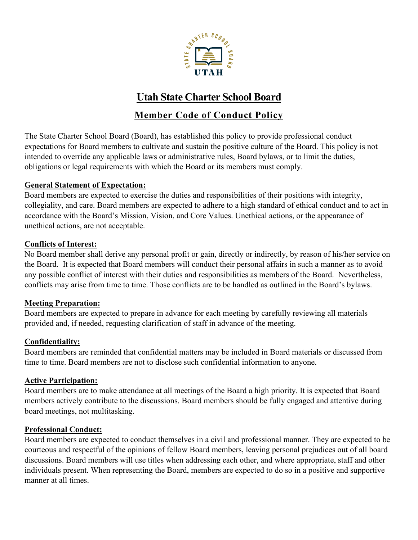

# **Utah State Charter School Board**

## **Member Code of Conduct Policy**

The State Charter School Board (Board), has established this policy to provide professional conduct expectations for Board members to cultivate and sustain the positive culture of the Board. This policy is not intended to override any applicable laws or administrative rules, Board bylaws, or to limit the duties, obligations or legal requirements with which the Board or its members must comply.

### **General Statement of Expectation:**

Board members are expected to exercise the duties and responsibilities of their positions with integrity, collegiality, and care. Board members are expected to adhere to a high standard of ethical conduct and to act in accordance with the Board's Mission, Vision, and Core Values. Unethical actions, or the appearance of unethical actions, are not acceptable.

### **Conflicts of Interest:**

No Board member shall derive any personal profit or gain, directly or indirectly, by reason of his/her service on the Board. It is expected that Board members will conduct their personal affairs in such a manner as to avoid any possible conflict of interest with their duties and responsibilities as members of the Board. Nevertheless, conflicts may arise from time to time. Those conflicts are to be handled as outlined in the Board's bylaws.

## **Meeting Preparation:**

Board members are expected to prepare in advance for each meeting by carefully reviewing all materials provided and, if needed, requesting clarification of staff in advance of the meeting.

## **Confidentiality:**

Board members are reminded that confidential matters may be included in Board materials or discussed from time to time. Board members are not to disclose such confidential information to anyone.

#### **Active Participation:**

Board members are to make attendance at all meetings of the Board a high priority. It is expected that Board members actively contribute to the discussions. Board members should be fully engaged and attentive during board meetings, not multitasking.

## **Professional Conduct:**

Board members are expected to conduct themselves in a civil and professional manner. They are expected to be courteous and respectful of the opinions of fellow Board members, leaving personal prejudices out of all board discussions. Board members will use titles when addressing each other, and where appropriate, staff and other individuals present. When representing the Board, members are expected to do so in a positive and supportive manner at all times.